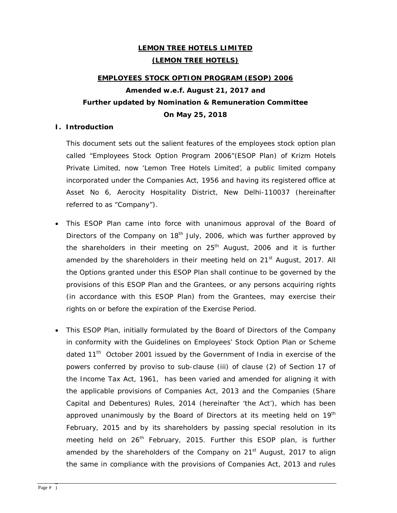# **LEMON TREE HOTELS LIMITED (LEMON TREE HOTELS)**

# **EMPLOYEES STOCK OPTION PROGRAM (ESOP) 2006 Amended w.e.f. August 21, 2017 and Further updated by Nomination & Remuneration Committee On May 25, 2018**

## **I. Introduction**

This document sets out the salient features of the employees stock option plan called "Employees Stock Option Program 2006"(ESOP Plan) of Krizm Hotels Private Limited, now 'Lemon Tree Hotels Limited', a public limited company incorporated under the Companies Act, 1956 and having its registered office at Asset No 6, Aerocity Hospitality District, New Delhi-110037 (hereinafter referred to as "Company").

- This ESOP Plan came into force with unanimous approval of the Board of Directors of the Company on  $18<sup>th</sup>$  July, 2006, which was further approved by the shareholders in their meeting on  $25<sup>th</sup>$  August, 2006 and it is further amended by the shareholders in their meeting held on  $21<sup>st</sup>$  August, 2017. All the Options granted under this ESOP Plan shall continue to be governed by the provisions of this ESOP Plan and the Grantees, or any persons acquiring rights (in accordance with this ESOP Plan) from the Grantees, may exercise their rights on or before the expiration of the Exercise Period.
- This ESOP Plan, initially formulated by the Board of Directors of the Company in conformity with the Guidelines on Employees' Stock Option Plan or Scheme dated 11<sup>th</sup> October 2001 issued by the Government of India in exercise of the powers conferred by proviso to sub-clause (iii) of clause (2) of Section 17 of the Income Tax Act, 1961, has been varied and amended for aligning it with the applicable provisions of Companies Act, 2013 and the Companies (Share Capital and Debentures) Rules, 2014 (hereinafter 'the Act'), which has been approved unanimously by the Board of Directors at its meeting held on  $19<sup>th</sup>$ February, 2015 and by its shareholders by passing special resolution in its meeting held on 26<sup>th</sup> February, 2015. Further this ESOP plan, is further amended by the shareholders of the Company on 21<sup>st</sup> August, 2017 to align the same in compliance with the provisions of Companies Act, 2013 and rules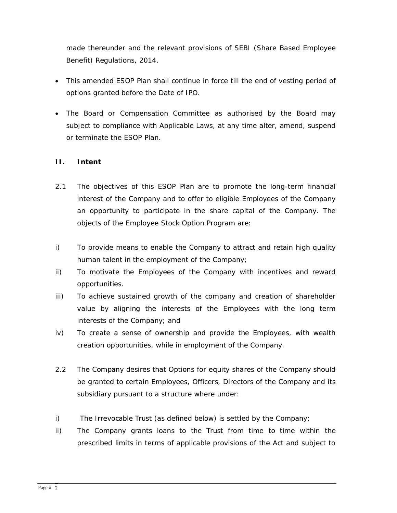made thereunder and the relevant provisions of SEBI (Share Based Employee Benefit) Regulations, 2014.

- This amended ESOP Plan shall continue in force till the end of vesting period of options granted before the Date of IPO.
- The Board or Compensation Committee as authorised by the Board may subject to compliance with Applicable Laws, at any time alter, amend, suspend or terminate the ESOP Plan.

# **II. Intent**

- 2.1 The objectives of this ESOP Plan are to promote the long-term financial interest of the Company and to offer to eligible Employees of the Company an opportunity to participate in the share capital of the Company. The objects of the Employee Stock Option Program are:
- i) To provide means to enable the Company to attract and retain high quality human talent in the employment of the Company;
- ii) To motivate the Employees of the Company with incentives and reward opportunities.
- iii) To achieve sustained growth of the company and creation of shareholder value by aligning the interests of the Employees with the long term interests of the Company; and
- iv) To create a sense of ownership and provide the Employees, with wealth creation opportunities, while in employment of the Company.
- 2.2 The Company desires that Options for equity shares of the Company should be granted to certain Employees, Officers, Directors of the Company and its subsidiary pursuant to a structure where under:
- i) The Irrevocable Trust (as defined below) is settled by the Company;
- ii) The Company grants loans to the Trust from time to time within the prescribed limits in terms of applicable provisions of the Act and subject to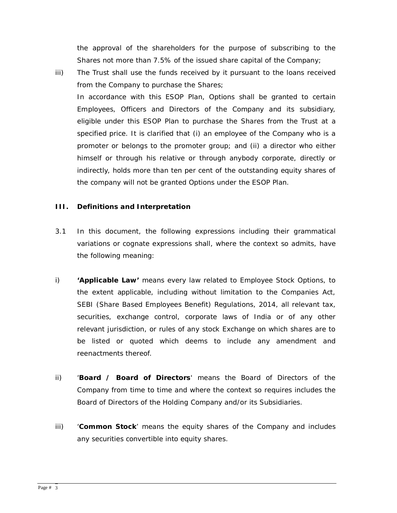the approval of the shareholders for the purpose of subscribing to the Shares not more than 7.5% of the issued share capital of the Company;

iii) The Trust shall use the funds received by it pursuant to the loans received from the Company to purchase the Shares; In accordance with this ESOP Plan, Options shall be granted to certain Employees, Officers and Directors of the Company and its subsidiary, eligible under this ESOP Plan to purchase the Shares from the Trust at a specified price. It is clarified that (i) an employee of the Company who is a promoter or belongs to the promoter group; and (ii) a director who either himself or through his relative or through anybody corporate, directly or indirectly, holds more than ten per cent of the outstanding equity shares of the company will not be granted Options under the ESOP Plan.

# **III. Definitions and Interpretation**

- 3.1 In this document, the following expressions including their grammatical variations or cognate expressions shall, where the context so admits, have the following meaning:
- i) **'Applicable Law'** means every law related to Employee Stock Options, to the extent applicable, including without limitation to the Companies Act, SEBI (Share Based Employees Benefit) Regulations, 2014, all relevant tax, securities, exchange control, corporate laws of India or of any other relevant jurisdiction, or rules of any stock Exchange on which shares are to be listed or quoted which deems to include any amendment and reenactments thereof.
- ii) '**Board / Board of Directors**' means the Board of Directors of the Company from time to time and where the context so requires includes the Board of Directors of the Holding Company and/or its Subsidiaries.
- iii) '**Common Stock**' means the equity shares of the Company and includes any securities convertible into equity shares.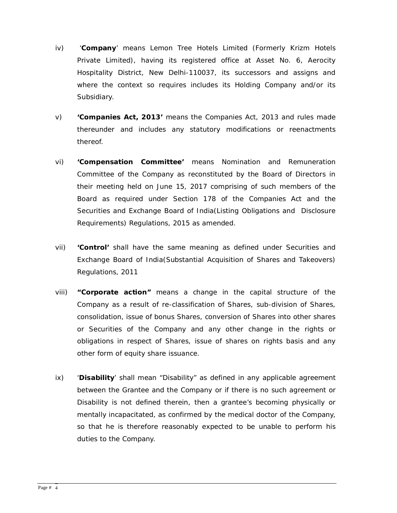- iv) '**Company**' means Lemon Tree Hotels Limited (Formerly Krizm Hotels Private Limited), having its registered office at Asset No. 6, Aerocity Hospitality District, New Delhi-110037, its successors and assigns and where the context so requires includes its Holding Company and/or its Subsidiary.
- v) **'Companies Act, 2013'** means the Companies Act, 2013 and rules made thereunder and includes any statutory modifications or reenactments thereof.
- vi) **'Compensation Committee'** means Nomination and Remuneration Committee of the Company as reconstituted by the Board of Directors in their meeting held on June 15, 2017 comprising of such members of the Board as required under Section 178 of the Companies Act and the Securities and Exchange Board of India(Listing Obligations and Disclosure Requirements) Regulations, 2015 as amended.
- vii) **'Control'** shall have the same meaning as defined under Securities and Exchange Board of India(Substantial Acquisition of Shares and Takeovers) Regulations, 2011
- viii) **"Corporate action"** means a change in the capital structure of the Company as a result of re-classification of Shares, sub-division of Shares, consolidation, issue of bonus Shares, conversion of Shares into other shares or Securities of the Company and any other change in the rights or obligations in respect of Shares, issue of shares on rights basis and any other form of equity share issuance.
- ix) '**Disability**' shall mean "Disability" as defined in any applicable agreement between the Grantee and the Company or if there is no such agreement or Disability is not defined therein, then a grantee's becoming physically or mentally incapacitated, as confirmed by the medical doctor of the Company, so that he is therefore reasonably expected to be unable to perform his duties to the Company.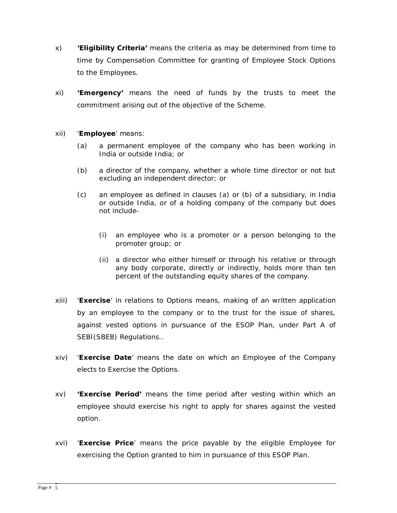- x) **'Eligibility Criteria'** means the criteria as may be determined from time to time by Compensation Committee for granting of Employee Stock Options to the Employees.
- xi) **'Emergency'** means the need of funds by the trusts to meet the commitment arising out of the objective of the Scheme.
- xii) '**Employee**' means:
	- (a) a permanent employee of the company who has been working in India or outside India; or
	- (b) a director of the company, whether a whole time director or not but excluding an independent director; or
	- (c) an employee as defined in clauses (a) or (b) of a subsidiary, in India or outside India, or of a holding company of the company but does not include-
		- (i) an employee who is a promoter or a person belonging to the promoter group; or
		- (ii) a director who either himself or through his relative or through any body corporate, directly or indirectly, holds more than ten percent of the outstanding equity shares of the company.
- xiii) '**Exercise**' in relations to Options means, making of an written application by an employee to the company or to the trust for the issue of shares, against vested options in pursuance of the ESOP Plan, under Part A of SEBI(SBEB) Regulations..
- xiv) '**Exercise Date**' means the date on which an Employee of the Company elects to Exercise the Options.
- xv) **'Exercise Period'** means the time period after vesting within which an employee should exercise his right to apply for shares against the vested option.
- xvi) '**Exercise Price**' means the price payable by the eligible Employee for exercising the Option granted to him in pursuance of this ESOP Plan.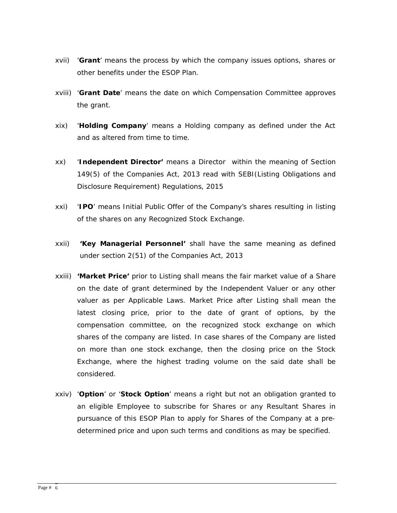- xvii) '**Grant**' means the process by which the company issues options, shares or other benefits under the ESOP Plan.
- xviii) '**Grant Date**' means the date on which Compensation Committee approves the grant.
- xix) '**Holding Company**' means a Holding company as defined under the Act and as altered from time to time.
- xx) '**Independent Director'** means a Director within the meaning of Section 149(5) of the Companies Act, 2013 read with SEBI(Listing Obligations and Disclosure Requirement) Regulations, 2015
- xxi) '**IPO**' means Initial Public Offer of the Company's shares resulting in listing of the shares on any Recognized Stock Exchange.
- xxii) **'Key Managerial Personnel'** shall have the same meaning as defined under section 2(51) of the Companies Act, 2013
- xxiii) **'Market Price'** prior to Listing shall means the fair market value of a Share on the date of grant determined by the Independent Valuer or any other valuer as per Applicable Laws. Market Price after Listing shall mean the latest closing price, prior to the date of grant of options, by the compensation committee, on the recognized stock exchange on which shares of the company are listed. In case shares of the Company are listed on more than one stock exchange, then the closing price on the Stock Exchange, where the highest trading volume on the said date shall be considered.
- xxiv) '**Option**' or '**Stock Option**' means a right but not an obligation granted to an eligible Employee to subscribe for Shares or any Resultant Shares in pursuance of this ESOP Plan to apply for Shares of the Company at a predetermined price and upon such terms and conditions as may be specified.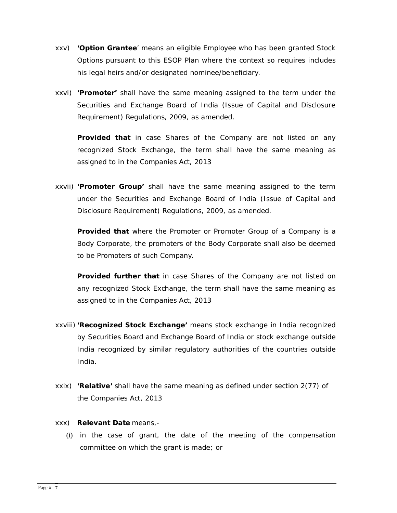- xxv) **'Option Grantee**' means an eligible Employee who has been granted Stock Options pursuant to this ESOP Plan where the context so requires includes his legal heirs and/or designated nominee/beneficiary.
- xxvi) **'Promoter'** shall have the same meaning assigned to the term under the Securities and Exchange Board of India (Issue of Capital and Disclosure Requirement) Regulations, 2009, as amended.

**Provided that** in case Shares of the Company are not listed on any recognized Stock Exchange, the term shall have the same meaning as assigned to in the Companies Act, 2013

xxvii) **'Promoter Group'** shall have the same meaning assigned to the term under the Securities and Exchange Board of India (Issue of Capital and Disclosure Requirement) Regulations, 2009, as amended.

**Provided that** where the Promoter or Promoter Group of a Company is a Body Corporate, the promoters of the Body Corporate shall also be deemed to be Promoters of such Company.

**Provided further that** in case Shares of the Company are not listed on any recognized Stock Exchange, the term shall have the same meaning as assigned to in the Companies Act, 2013

- xxviii) **'Recognized Stock Exchange'** means stock exchange in India recognized by Securities Board and Exchange Board of India or stock exchange outside India recognized by similar regulatory authorities of the countries outside India.
- xxix) **'Relative'** shall have the same meaning as defined under section 2(77) of the Companies Act, 2013
- xxx) **Relevant Date** means,-
	- (i) in the case of grant, the date of the meeting of the compensation committee on which the grant is made; or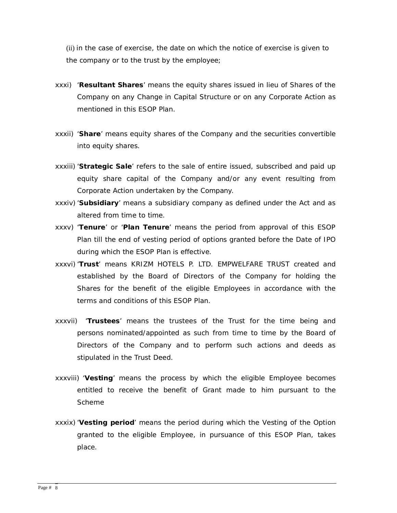(ii) in the case of exercise, the date on which the notice of exercise is given to the company or to the trust by the employee;

- xxxi) '**Resultant Shares**' means the equity shares issued in lieu of Shares of the Company on any Change in Capital Structure or on any Corporate Action as mentioned in this ESOP Plan.
- xxxii) '**Share**' means equity shares of the Company and the securities convertible into equity shares.
- xxxiii) '**Strategic Sale**' refers to the sale of entire issued, subscribed and paid up equity share capital of the Company and/or any event resulting from Corporate Action undertaken by the Company.
- xxxiv) '**Subsidiary**' means a subsidiary company as defined under the Act and as altered from time to time.
- xxxv) '**Tenure**' or '**Plan Tenure**' means the period from approval of this ESOP Plan till the end of vesting period of options granted before the Date of IPO during which the ESOP Plan is effective.
- xxxvi) '**Trust**' means KRIZM HOTELS P. LTD. EMPWELFARE TRUST created and established by the Board of Directors of the Company for holding the Shares for the benefit of the eligible Employees in accordance with the terms and conditions of this ESOP Plan.
- xxxvii) '**Trustees**' means the trustees of the Trust for the time being and persons nominated/appointed as such from time to time by the Board of Directors of the Company and to perform such actions and deeds as stipulated in the Trust Deed.
- xxxviii) '**Vesting**' means the process by which the eligible Employee becomes entitled to receive the benefit of Grant made to him pursuant to the Scheme
- xxxix) '**Vesting period**' means the period during which the Vesting of the Option granted to the eligible Employee, in pursuance of this ESOP Plan, takes place.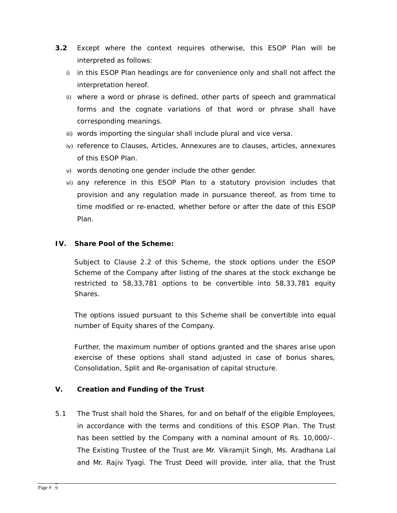- **3.2** Except where the context requires otherwise, this ESOP Plan will be interpreted as follows:
	- i) in this ESOP Plan headings are for convenience only and shall not affect the interpretation hereof.
	- ii) where a word or phrase is defined, other parts of speech and grammatical forms and the cognate variations of that word or phrase shall have corresponding meanings.
	- iii) words importing the singular shall include plural and vice versa.
	- iv) reference to Clauses, Articles, Annexures are to clauses, articles, annexures of this ESOP Plan.
	- v) words denoting one gender include the other gender.
	- vi) any reference in this ESOP Plan to a statutory provision includes that provision and any regulation made in pursuance thereof, as from time to time modified or re-enacted, whether before or after the date of this ESOP Plan.

# **IV. Share Pool of the Scheme:**

Subject to Clause 2.2 of this Scheme, the stock options under the ESOP Scheme of the Company after listing of the shares at the stock exchange be restricted to 58,33,781 options to be convertible into 58,33,781 equity Shares.

The options issued pursuant to this Scheme shall be convertible into equal number of Equity shares of the Company.

Further, the maximum number of options granted and the shares arise upon exercise of these options shall stand adjusted in case of bonus shares, Consolidation, Split and Re-organisation of capital structure.

# **V. Creation and Funding of the Trust**

5.1 The Trust shall hold the Shares, for and on behalf of the eligible Employees, in accordance with the terms and conditions of this ESOP Plan. The Trust has been settled by the Company with a nominal amount of Rs. 10,000/-. The Existing Trustee of the Trust are Mr. Vikramjit Singh, Ms. Aradhana Lal and Mr. Rajiv Tyagi. The Trust Deed will provide, inter alia, that the Trust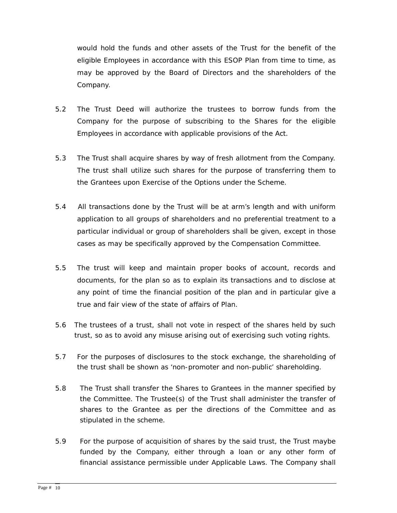would hold the funds and other assets of the Trust for the benefit of the eligible Employees in accordance with this ESOP Plan from time to time, as may be approved by the Board of Directors and the shareholders of the Company.

- 5.2 The Trust Deed will authorize the trustees to borrow funds from the Company for the purpose of subscribing to the Shares for the eligible Employees in accordance with applicable provisions of the Act.
- 5.3 The Trust shall acquire shares by way of fresh allotment from the Company. The trust shall utilize such shares for the purpose of transferring them to the Grantees upon Exercise of the Options under the Scheme.
- 5.4 All transactions done by the Trust will be at arm's length and with uniform application to all groups of shareholders and no preferential treatment to a particular individual or group of shareholders shall be given, except in those cases as may be specifically approved by the Compensation Committee.
- 5.5 The trust will keep and maintain proper books of account, records and documents, for the plan so as to explain its transactions and to disclose at any point of time the financial position of the plan and in particular give a true and fair view of the state of affairs of Plan.
- 5.6 The trustees of a trust, shall not vote in respect of the shares held by such trust, so as to avoid any misuse arising out of exercising such voting rights.
- 5.7 For the purposes of disclosures to the stock exchange, the shareholding of the trust shall be shown as 'non-promoter and non-public' shareholding.
- 5.8 The Trust shall transfer the Shares to Grantees in the manner specified by the Committee. The Trustee(s) of the Trust shall administer the transfer of shares to the Grantee as per the directions of the Committee and as stipulated in the scheme.
- 5.9 For the purpose of acquisition of shares by the said trust, the Trust maybe funded by the Company, either through a loan or any other form of financial assistance permissible under Applicable Laws. The Company shall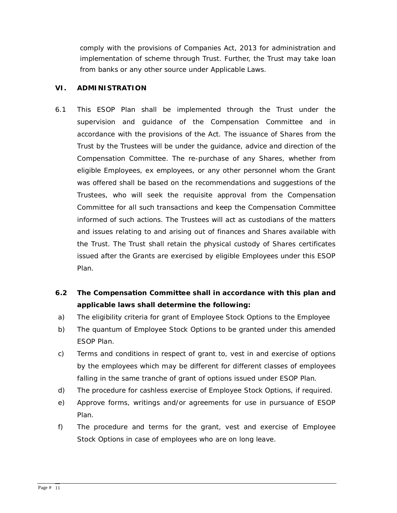comply with the provisions of Companies Act, 2013 for administration and implementation of scheme through Trust. Further, the Trust may take loan from banks or any other source under Applicable Laws.

# **VI. ADMINISTRATION**

- 6.1 This ESOP Plan shall be implemented through the Trust under the supervision and guidance of the Compensation Committee and in accordance with the provisions of the Act. The issuance of Shares from the Trust by the Trustees will be under the guidance, advice and direction of the Compensation Committee. The re-purchase of any Shares, whether from eligible Employees, ex employees, or any other personnel whom the Grant was offered shall be based on the recommendations and suggestions of the Trustees, who will seek the requisite approval from the Compensation Committee for all such transactions and keep the Compensation Committee informed of such actions. The Trustees will act as custodians of the matters and issues relating to and arising out of finances and Shares available with the Trust. The Trust shall retain the physical custody of Shares certificates issued after the Grants are exercised by eligible Employees under this ESOP Plan.
- **6.2 The Compensation Committee shall in accordance with this plan and applicable laws shall determine the following:**
- a) The eligibility criteria for grant of Employee Stock Options to the Employee
- b) The quantum of Employee Stock Options to be granted under this amended ESOP Plan.
- c) Terms and conditions in respect of grant to, vest in and exercise of options by the employees which may be different for different classes of employees falling in the same tranche of grant of options issued under ESOP Plan.
- d) The procedure for cashless exercise of Employee Stock Options, if required.
- e) Approve forms, writings and/or agreements for use in pursuance of ESOP Plan.
- f) The procedure and terms for the grant, vest and exercise of Employee Stock Options in case of employees who are on long leave.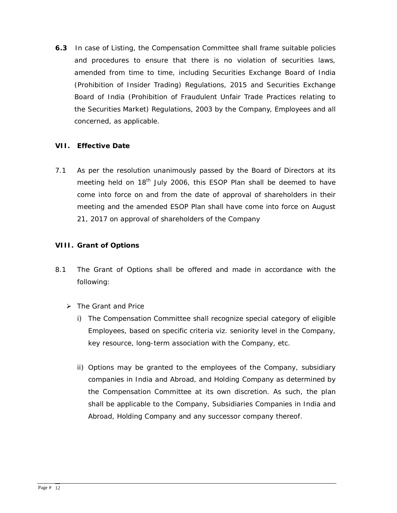**6.3** In case of Listing, the Compensation Committee shall frame suitable policies and procedures to ensure that there is no violation of securities laws, amended from time to time, including Securities Exchange Board of India (Prohibition of Insider Trading) Regulations, 2015 and Securities Exchange Board of India (Prohibition of Fraudulent Unfair Trade Practices relating to the Securities Market) Regulations, 2003 by the Company, Employees and all concerned, as applicable.

# **VII. Effective Date**

7.1 As per the resolution unanimously passed by the Board of Directors at its meeting held on 18<sup>th</sup> July 2006, this ESOP Plan shall be deemed to have come into force on and from the date of approval of shareholders in their meeting and the amended ESOP Plan shall have come into force on August 21, 2017 on approval of shareholders of the Company

# **VIII. Grant of Options**

- 8.1 The Grant of Options shall be offered and made in accordance with the following:
	- *The Grant and Price* 
		- i) The Compensation Committee shall recognize special category of eligible Employees, based on specific criteria viz. seniority level in the Company, key resource, long-term association with the Company, etc.
		- ii) Options may be granted to the employees of the Company, subsidiary companies in India and Abroad, and Holding Company as determined by the Compensation Committee at its own discretion. As such, the plan shall be applicable to the Company, Subsidiaries Companies in India and Abroad, Holding Company and any successor company thereof.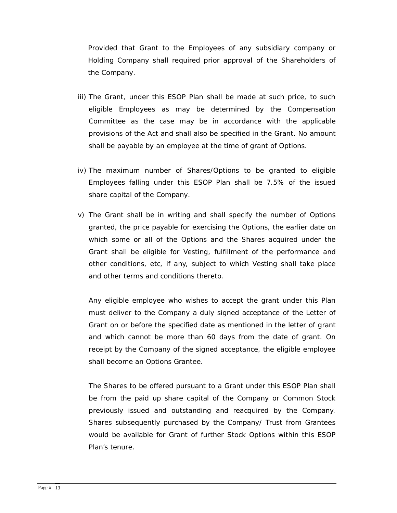Provided that Grant to the Employees of any subsidiary company or Holding Company shall required prior approval of the Shareholders of the Company.

- iii) The Grant, under this ESOP Plan shall be made at such price, to such eligible Employees as may be determined by the Compensation Committee as the case may be in accordance with the applicable provisions of the Act and shall also be specified in the Grant. No amount shall be payable by an employee at the time of grant of Options.
- iv) The maximum number of Shares/Options to be granted to eligible Employees falling under this ESOP Plan shall be 7.5% of the issued share capital of the Company.
- v) The Grant shall be in writing and shall specify the number of Options granted, the price payable for exercising the Options, the earlier date on which some or all of the Options and the Shares acquired under the Grant shall be eligible for Vesting, fulfillment of the performance and other conditions, etc, if any, subject to which Vesting shall take place and other terms and conditions thereto.

Any eligible employee who wishes to accept the grant under this Plan must deliver to the Company a duly signed acceptance of the Letter of Grant on or before the specified date as mentioned in the letter of grant and which cannot be more than 60 days from the date of grant. On receipt by the Company of the signed acceptance, the eligible employee shall become an Options Grantee.

The Shares to be offered pursuant to a Grant under this ESOP Plan shall be from the paid up share capital of the Company or Common Stock previously issued and outstanding and reacquired by the Company. Shares subsequently purchased by the Company/ Trust from Grantees would be available for Grant of further Stock Options within this ESOP Plan's tenure.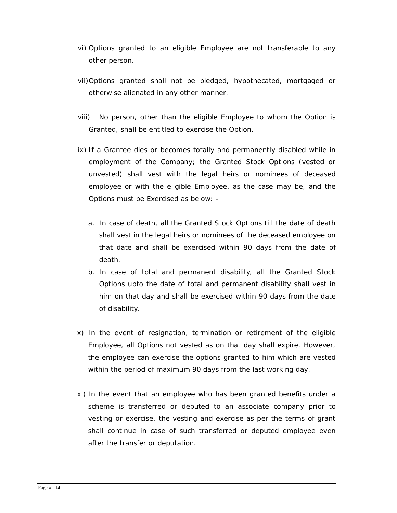- vi) Options granted to an eligible Employee are not transferable to any other person.
- vii)Options granted shall not be pledged, hypothecated, mortgaged or otherwise alienated in any other manner.
- viii) No person, other than the eligible Employee to whom the Option is Granted, shall be entitled to exercise the Option.
- ix) If a Grantee dies or becomes totally and permanently disabled while in employment of the Company; the Granted Stock Options (vested or unvested) shall vest with the legal heirs or nominees of deceased employee or with the eligible Employee, as the case may be, and the Options must be Exercised as below:
	- a. In case of death, all the Granted Stock Options till the date of death shall vest in the legal heirs or nominees of the deceased employee on that date and shall be exercised within 90 days from the date of death.
	- b. In case of total and permanent disability, all the Granted Stock Options upto the date of total and permanent disability shall vest in him on that day and shall be exercised within 90 days from the date of disability.
- x) In the event of resignation, termination or retirement of the eligible Employee, all Options not vested as on that day shall expire. However, the employee can exercise the options granted to him which are vested within the period of maximum 90 days from the last working day.
- xi) In the event that an employee who has been granted benefits under a scheme is transferred or deputed to an associate company prior to vesting or exercise, the vesting and exercise as per the terms of grant shall continue in case of such transferred or deputed employee even after the transfer or deputation.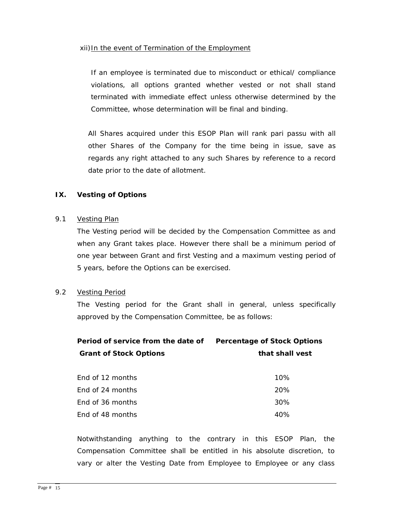## xii)In the event of Termination of the Employment

If an employee is terminated due to misconduct or ethical/ compliance violations, all options granted whether vested or not shall stand terminated with immediate effect unless otherwise determined by the Committee, whose determination will be final and binding.

All Shares acquired under this ESOP Plan will rank pari passu with all other Shares of the Company for the time being in issue, save as regards any right attached to any such Shares by reference to a record date prior to the date of allotment.

# **IX. Vesting of Options**

## 9.1 *Vesting Plan*

The Vesting period will be decided by the Compensation Committee as and when any Grant takes place. However there shall be a minimum period of one year between Grant and first Vesting and a maximum vesting period of 5 years, before the Options can be exercised.

# 9.2 *Vesting Period*

The Vesting period for the Grant shall in general, unless specifically approved by the Compensation Committee, be as follows:

| Period of service from the date of | <b>Percentage of Stock Options</b> |
|------------------------------------|------------------------------------|
| <b>Grant of Stock Options</b>      | that shall vest                    |

| End of 12 months | $10\%$ |
|------------------|--------|
| End of 24 months | 20%    |
| End of 36 months | 30%    |
| End of 48 months | 40%    |

Notwithstanding anything to the contrary in this ESOP Plan, the Compensation Committee shall be entitled in his absolute discretion, to vary or alter the Vesting Date from Employee to Employee or any class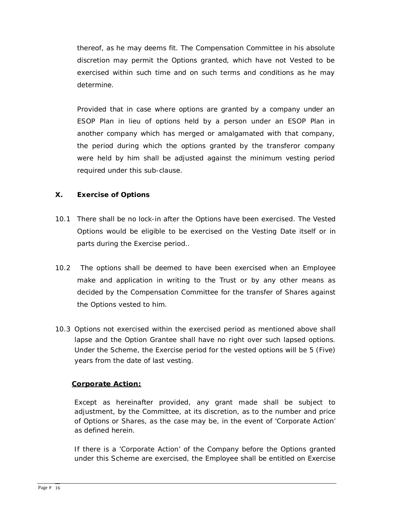thereof, as he may deems fit. The Compensation Committee in his absolute discretion may permit the Options granted, which have not Vested to be exercised within such time and on such terms and conditions as he may determine.

Provided that in case where options are granted by a company under an ESOP Plan in lieu of options held by a person under an ESOP Plan in another company which has merged or amalgamated with that company, the period during which the options granted by the transferor company were held by him shall be adjusted against the minimum vesting period required under this sub-clause.

# **X. Exercise of Options**

- 10.1 There shall be no lock-in after the Options have been exercised. The Vested Options would be eligible to be exercised on the Vesting Date itself or in parts during the Exercise period..
- 10.2 The options shall be deemed to have been exercised when an Employee make and application in writing to the Trust or by any other means as decided by the Compensation Committee for the transfer of Shares against the Options vested to him.
- 10.3 Options not exercised within the exercised period as mentioned above shall lapse and the Option Grantee shall have no right over such lapsed options. Under the Scheme, the Exercise period for the vested options will be 5 (Five) years from the date of last vesting.

# **Corporate Action:**

Except as hereinafter provided, any grant made shall be subject to adjustment, by the Committee, at its discretion, as to the number and price of Options or Shares, as the case may be, in the event of 'Corporate Action' as defined herein.

If there is a 'Corporate Action' of the Company before the Options granted under this Scheme are exercised, the Employee shall be entitled on Exercise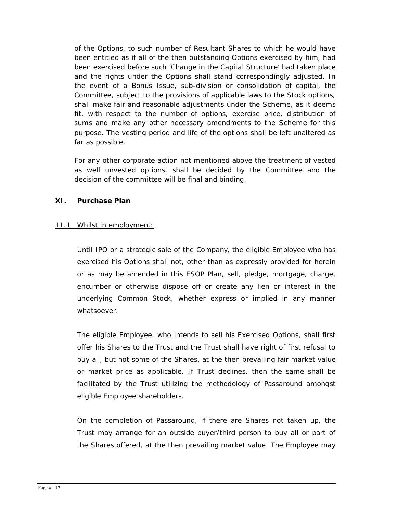of the Options, to such number of Resultant Shares to which he would have been entitled as if all of the then outstanding Options exercised by him, had been exercised before such 'Change in the Capital Structure' had taken place and the rights under the Options shall stand correspondingly adjusted. In the event of a Bonus Issue, sub-division or consolidation of capital, the Committee, subject to the provisions of applicable laws to the Stock options, shall make fair and reasonable adjustments under the Scheme, as it deems fit, with respect to the number of options, exercise price, distribution of sums and make any other necessary amendments to the Scheme for this purpose. The vesting period and life of the options shall be left unaltered as far as possible.

For any other corporate action not mentioned above the treatment of vested as well unvested options, shall be decided by the Committee and the decision of the committee will be final and binding.

# **XI. Purchase Plan**

## 11.1 Whilst in employment:

Until IPO or a strategic sale of the Company, the eligible Employee who has exercised his Options shall not, other than as expressly provided for herein or as may be amended in this ESOP Plan, sell, pledge, mortgage, charge, encumber or otherwise dispose off or create any lien or interest in the underlying Common Stock, whether express or implied in any manner whatsoever.

The eligible Employee, who intends to sell his Exercised Options, shall first offer his Shares to the Trust and the Trust shall have right of first refusal to buy all, but not some of the Shares, at the then prevailing fair market value or market price as applicable. If Trust declines, then the same shall be facilitated by the Trust utilizing the methodology of Passaround amongst eligible Employee shareholders.

On the completion of Passaround, if there are Shares not taken up, the Trust may arrange for an outside buyer/third person to buy all or part of the Shares offered, at the then prevailing market value. The Employee may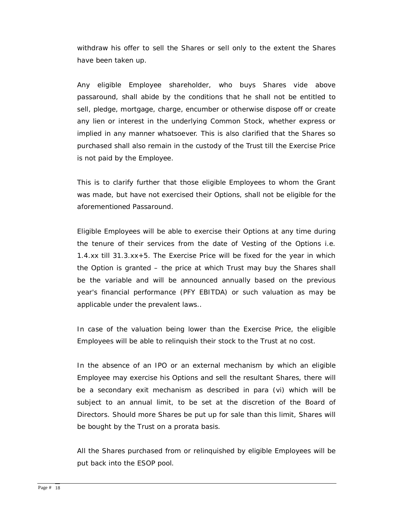withdraw his offer to sell the Shares or sell only to the extent the Shares have been taken up.

Any eligible Employee shareholder, who buys Shares vide above passaround, shall abide by the conditions that he shall not be entitled to sell, pledge, mortgage, charge, encumber or otherwise dispose off or create any lien or interest in the underlying Common Stock, whether express or implied in any manner whatsoever. This is also clarified that the Shares so purchased shall also remain in the custody of the Trust till the Exercise Price is not paid by the Employee.

This is to clarify further that those eligible Employees to whom the Grant was made, but have not exercised their Options, shall not be eligible for the aforementioned Passaround.

Eligible Employees will be able to exercise their Options at any time during the tenure of their services from the date of Vesting of the Options i.e. 1.4.xx till 31.3.xx+5. The E*xercise Price will be fixed for the year in which the Option is granted – the price at which Trust may buy the Shares shall be the variable* and will be announced annually based on the previous year's financial performance (PFY EBITDA) or such valuation as may be applicable under the prevalent laws..

In case of the valuation being lower than the Exercise Price, the eligible Employees will be able to relinquish their stock to the Trust at no cost.

In the absence of an IPO or an external mechanism by which an eligible Employee may exercise his Options and sell the resultant Shares, there will be a secondary exit mechanism as described in para (vi) which will be subject to an annual limit, to be set at the discretion of the Board of Directors. Should more Shares be put up for sale than this limit, Shares will be bought by the Trust on a prorata basis.

All the Shares purchased from or relinquished by eligible Employees will be put back into the ESOP pool.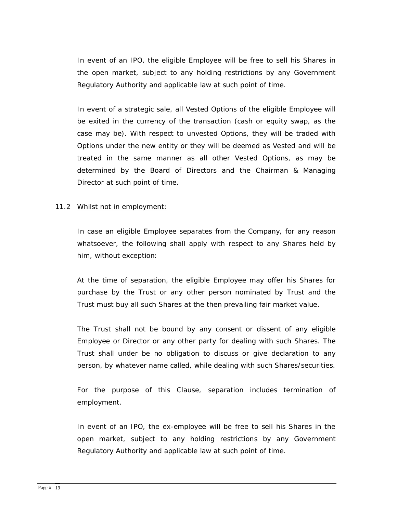In event of an IPO, the eligible Employee will be free to sell his Shares in the open market, subject to any holding restrictions by any Government Regulatory Authority and applicable law at such point of time.

In event of a strategic sale, all Vested Options of the eligible Employee will be exited in the currency of the transaction (cash or equity swap, as the case may be). With respect to unvested Options, they will be traded with Options under the new entity or they will be deemed as Vested and will be treated in the same manner as all other Vested Options, as may be determined by the Board of Directors and the Chairman & Managing Director at such point of time.

## 11.2 Whilst not in employment:

In case an eligible Employee separates from the Company, for any reason whatsoever, the following shall apply with respect to any Shares held by him, without exception:

At the time of separation, the eligible Employee may offer his Shares for purchase by the Trust or any other person nominated by Trust and the Trust must buy all such Shares at the then prevailing fair market value.

The Trust shall not be bound by any consent or dissent of any eligible Employee or Director or any other party for dealing with such Shares. The Trust shall under be no obligation to discuss or give declaration to any person, by whatever name called, while dealing with such Shares/securities.

For the purpose of this Clause, separation includes termination of employment.

In event of an IPO, the ex-employee will be free to sell his Shares in the open market, subject to any holding restrictions by any Government Regulatory Authority and applicable law at such point of time.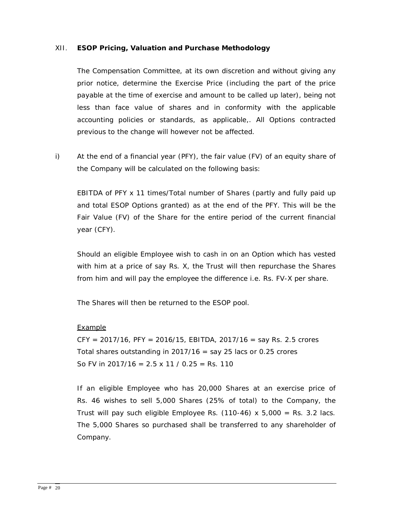## XII. **ESOP Pricing, Valuation and Purchase Methodology**

The Compensation Committee, at its own discretion and without giving any prior notice, determine the Exercise Price (including the part of the price payable at the time of exercise and amount to be called up later), being not less than face value of shares and in conformity with the applicable accounting policies or standards, as applicable,. All Options contracted previous to the change will however not be affected.

i) At the end of a financial year (PFY), the fair value (FV) of an equity share of the Company will be calculated on the following basis:

EBITDA of PFY x 11 times/Total number of Shares (partly and fully paid up and total ESOP Options granted) as at the end of the PFY. This will be the Fair Value (FV) of the Share for the entire period of the current financial year (CFY).

Should an eligible Employee wish to cash in on an Option which has vested with him at a price of say Rs. X, the Trust will then repurchase the Shares from him and will pay the employee the difference i.e. Rs. FV-X per share.

The Shares will then be returned to the ESOP pool.

# **Example**

 $CFY = 2017/16$ ,  $PFY = 2016/15$ ,  $EBITDA$ ,  $2017/16 = \text{say Rs. } 2.5 \text{ crores}$ Total shares outstanding in  $2017/16$  = say 25 lacs or 0.25 crores So FV in 2017/16 =  $2.5 \times 11 / 0.25$  = Rs. 110

If an eligible Employee who has 20,000 Shares at an exercise price of Rs. 46 wishes to sell 5,000 Shares (25% of total) to the Company, the Trust will pay such eligible Employee Rs.  $(110-46)$  x 5,000 = Rs. 3.2 lacs. The 5,000 Shares so purchased shall be transferred to any shareholder of Company.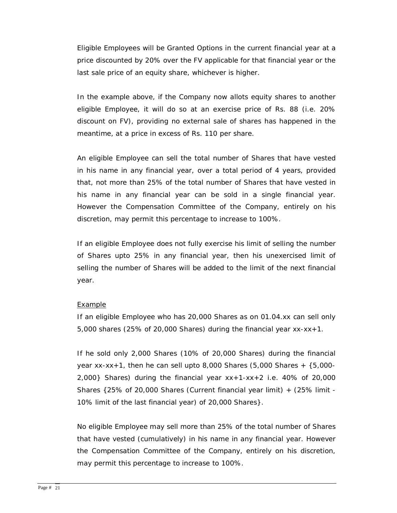Eligible Employees will be Granted Options in the current financial year at a price discounted by 20% over the FV applicable for that financial year or the last sale price of an equity share, whichever is higher.

In the example above, if the Company now allots equity shares to another eligible Employee, it will do so at an exercise price of Rs. 88 (i.e. 20% discount on FV), providing no external sale of shares has happened in the meantime, at a price in excess of Rs. 110 per share.

An eligible Employee can sell the total number of Shares that have vested in his name in any financial year, over a total period of 4 years, provided that, not more than 25% of the total number of Shares that have vested in his name in any financial year can be sold in a single financial year. However the Compensation Committee of the Company, entirely on his discretion, may permit this percentage to increase to 100%.

If an eligible Employee does not fully exercise his limit of selling the number of Shares upto 25% in any financial year, then his unexercised limit of selling the number of Shares will be added to the limit of the next financial year.

#### Example

If an eligible Employee who has 20,000 Shares as on 01.04.xx can sell only 5,000 shares (25% of 20,000 Shares) during the financial year xx-xx+1.

If he sold only 2,000 Shares (10% of 20,000 Shares) during the financial year  $xx-xx+1$ , then he can sell upto 8,000 Shares (5,000 Shares +  $\{5,000 2,000$ } Shares) during the financial year  $xx+1-xx+2$  i.e. 40% of 20,000 Shares {25% of 20,000 Shares (Current financial year limit) + (25% limit - 10% limit of the last financial year) of 20,000 Shares}.

 No eligible Employee may sell more than 25% of the total number of Shares that have vested (cumulatively) in his name in any financial year. However the Compensation Committee of the Company, entirely on his discretion, may permit this percentage to increase to 100%.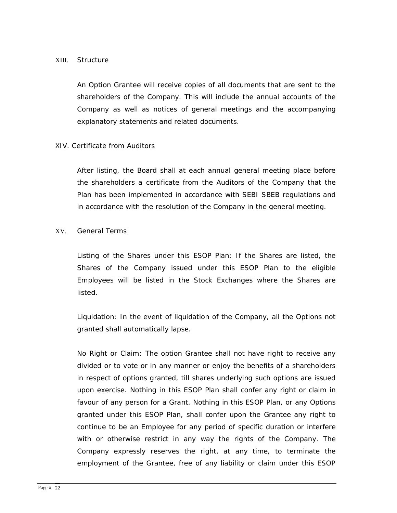#### XIII. Structure

An Option Grantee will receive copies of all documents that are sent to the shareholders of the Company. This will include the annual accounts of the Company as well as notices of general meetings and the accompanying explanatory statements and related documents.

## XIV. Certificate from Auditors

After listing, the Board shall at each annual general meeting place before the shareholders a certificate from the Auditors of the Company that the Plan has been implemented in accordance with SEBI SBEB regulations and in accordance with the resolution of the Company in the general meeting.

## XV. General Terms

Listing of the Shares under this ESOP Plan: If the Shares are listed, the Shares of the Company issued under this ESOP Plan to the eligible Employees will be listed in the Stock Exchanges where the Shares are listed.

Liquidation: In the event of liquidation of the Company, all the Options not granted shall automatically lapse.

No Right or Claim: The option Grantee shall not have right to receive any divided or to vote or in any manner or enjoy the benefits of a shareholders in respect of options granted, till shares underlying such options are issued upon exercise. Nothing in this ESOP Plan shall confer any right or claim in favour of any person for a Grant. Nothing in this ESOP Plan, or any Options granted under this ESOP Plan, shall confer upon the Grantee any right to continue to be an Employee for any period of specific duration or interfere with or otherwise restrict in any way the rights of the Company. The Company expressly reserves the right, at any time, to terminate the employment of the Grantee, free of any liability or claim under this ESOP